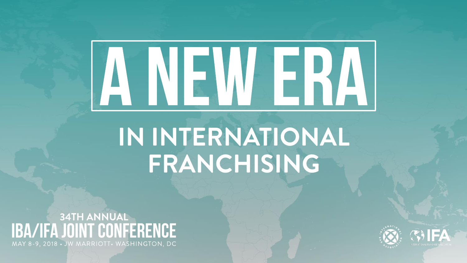# ANEWERA

# IN INTERNATIONAL FRANCHISING

**34TH ANNUAL** IBA/IFA JOINT CONFERENCE MAY 8-9, 2018 • JW MARRIOTT• WASHINGTON, DC



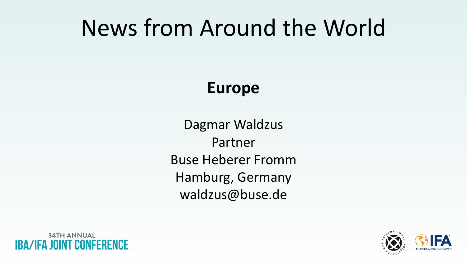# News from Around the World

## **Europe**

Dagmar Waldzus Partner Buse Heberer Fromm Hamburg, Germany waldzus@buse.de





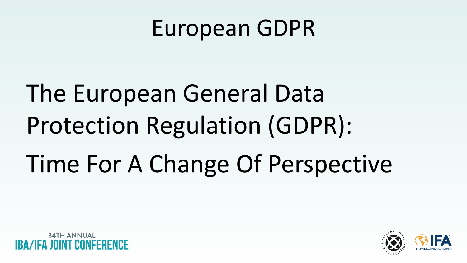The European General Data Protection Regulation (GDPR): Time For A Change Of Perspective

**34TH ANNUAL** 





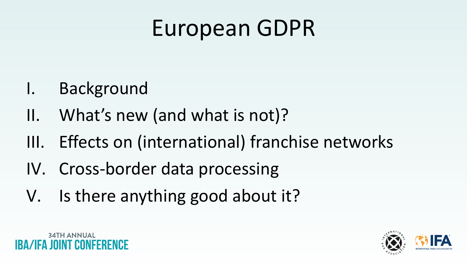I. Background

34TH ANNUAI

- II. What's new (and what is not)?
- III. Effects on (international) franchise networks
- IV. Cross-border data processing
- V. Is there anything good about it?



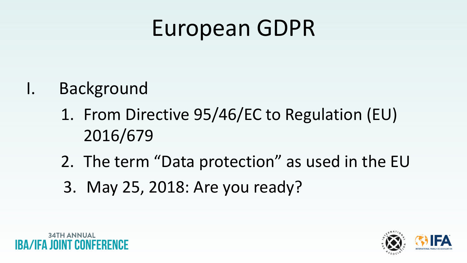- I. Background
	- 1. From Directive 95/46/EC to Regulation (EU) 2016/679
	- 2. The term "Data protection" as used in the EU
	- 3. May 25, 2018: Are you ready?





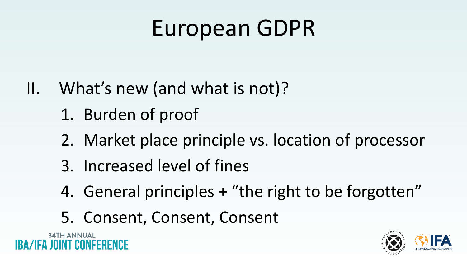- II. What's new (and what is not)?
	- 1. Burden of proof
	- 2. Market place principle vs. location of processor
	- 3. Increased level of fines
	- 4. General principles + "the right to be forgotten"
	- 5. Consent, Consent, Consent





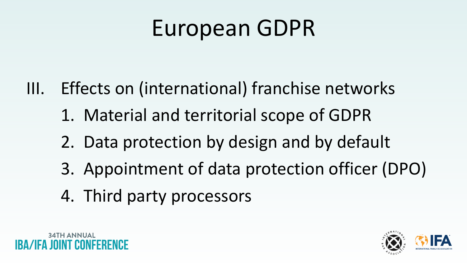- III. Effects on (international) franchise networks
	- 1. Material and territorial scope of GDPR
	- 2. Data protection by design and by default
	- 3. Appointment of data protection officer (DPO)
	- 4. Third party processors





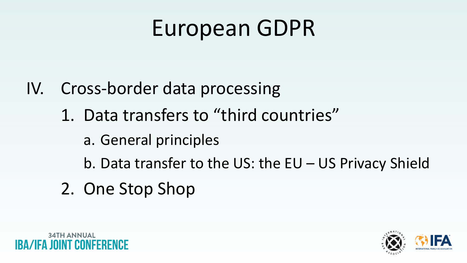- IV. Cross-border data processing
	- 1. Data transfers to "third countries"
		- a. General principles
		- b. Data transfer to the US: the EU US Privacy Shield
	- 2. One Stop Shop





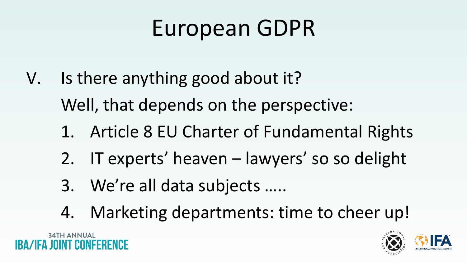- V. Is there anything good about it? Well, that depends on the perspective:
	- 1. Article 8 EU Charter of Fundamental Rights
	- 2. IT experts' heaven lawyers' so so delight
	- 3. We're all data subjects …..
	- 4. Marketing departments: time to cheer up!



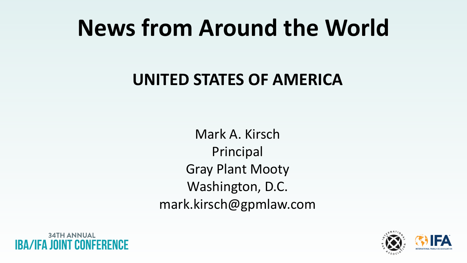# **News from Around the World**

## **UNITED STATES OF AMERICA**

Mark A. Kirsch Principal Gray Plant Mooty Washington, D.C. mark.kirsch@gpmlaw.com





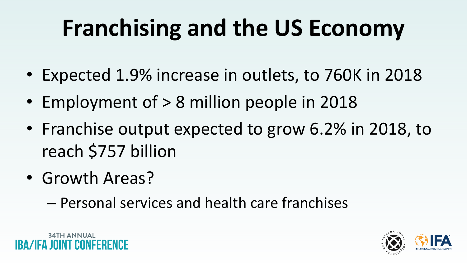# **Franchising and the US Economy**

- Expected 1.9% increase in outlets, to 760K in 2018
- Employment of > 8 million people in 2018
- Franchise output expected to grow 6.2% in 2018, to reach \$757 billion
- Growth Areas?
	- Personal services and health care franchises







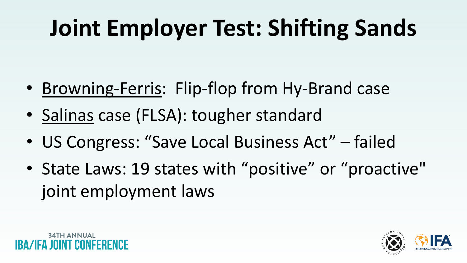# **Joint Employer Test: Shifting Sands**

- Browning-Ferris: Flip-flop from Hy-Brand case
- Salinas case (FLSA): tougher standard
- US Congress: "Save Local Business Act" failed
- State Laws: 19 states with "positive" or "proactive" joint employment laws







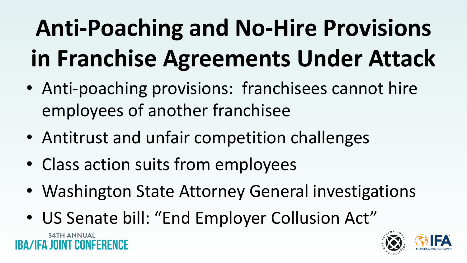# **Anti-Poaching and No-Hire Provisions in Franchise Agreements Under Attack** • Anti-poaching provisions: franchisees cannot hire

- employees of another franchisee
- Antitrust and unfair competition challenges
- Class action suits from employees
- Washington State Attorney General investigations
- US Senate bill: "End Employer Collusion Act"

**34TH ANNUAL** 





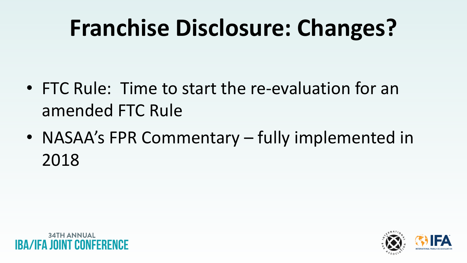# **Franchise Disclosure: Changes?**

- FTC Rule: Time to start the re-evaluation for an amended FTC Rule
- NASAA's FPR Commentary fully implemented in 2018







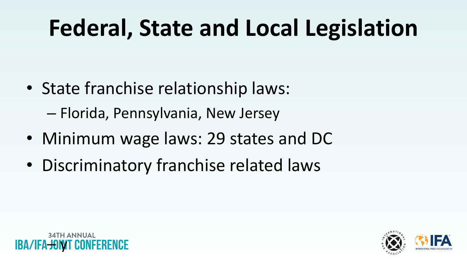# **Federal, State and Local Legislation**

- State franchise relationship laws: – Florida, Pennsylvania, New Jersey
- Minimum wage laws: 29 states and DC
- Discriminatory franchise related laws





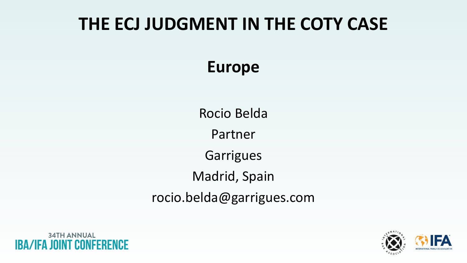## **Europe**

Rocio Belda Partner Garrigues Madrid, Spain rocio.belda@garrigues.com

**34TH ANNUAL** IBA/IFA JOINT CONFEI





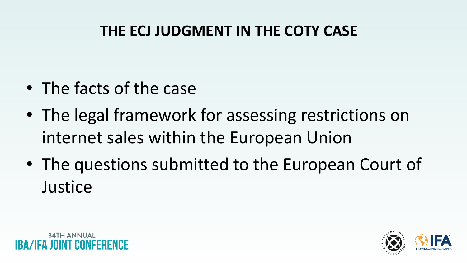- The facts of the case
- The legal framework for assessing restrictions on internet sales within the European Union
- The questions submitted to the European Court of **Justice**



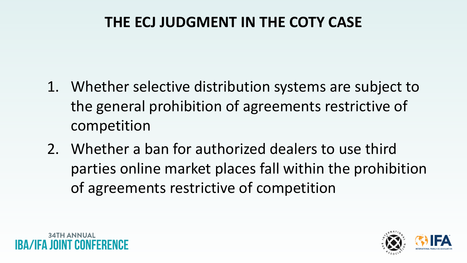- 1. Whether selective distribution systems are subject to the general prohibition of agreements restrictive of competition
- 2. Whether a ban for authorized dealers to use third parties online market places fall within the prohibition of agreements restrictive of competition



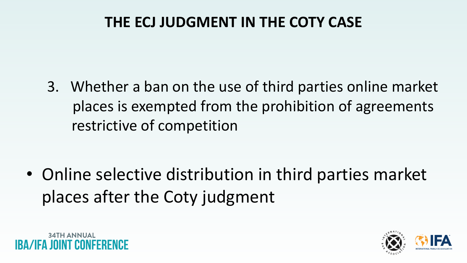3. Whether a ban on the use of third parties online market places is exempted from the prohibition of agreements restrictive of competition

• Online selective distribution in third parties market places after the Coty judgment





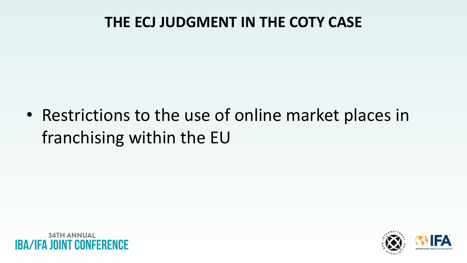• Restrictions to the use of online market places in franchising within the EU





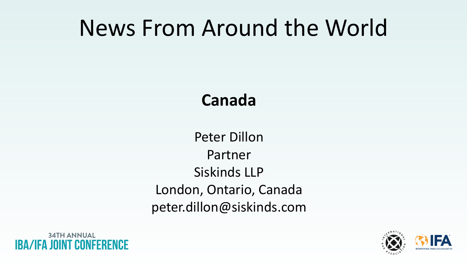# News From Around the World

## **Canada**

Peter Dillon Partner Siskinds LLP London, Ontario, Canada peter.dillon@siskinds.com





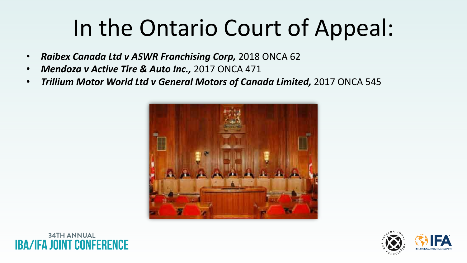# In the Ontario Court of Appeal:

- *Raibex Canada Ltd v ASWR Franchising Corp,* 2018 ONCA 62
- *Mendoza v Active Tire & Auto Inc.,* 2017 ONCA 471
- *Trillium Motor World Ltd v General Motors of Canada Limited,* 2017 ONCA 545



# **34TH ANNUAL**



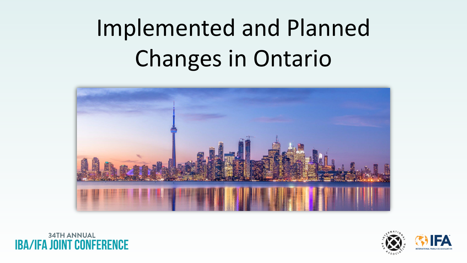# Implemented and Planned Changes in Ontario



## **34TH ANNUAL /IFA JOINT CONFERENCE**





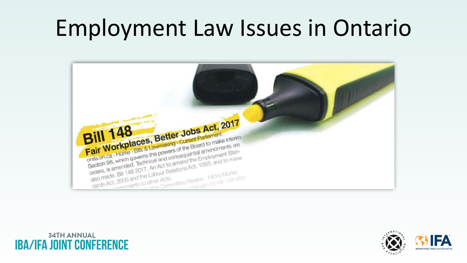# Employment Law Issues in Ontario



## **34TH ANNUAL IBA/IFA JOINT CONFERENCE**



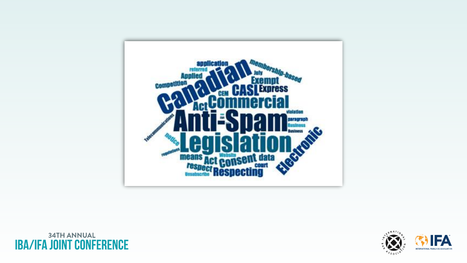

## **34TH ANNUAL IBA/IFA JOINT CONFERENCE**



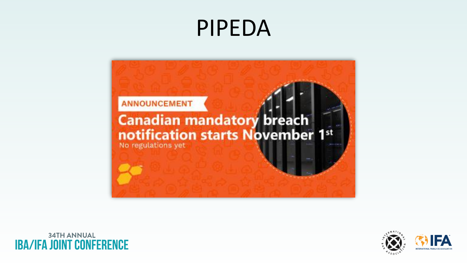# PIPEDA



**34TH ANNUAL IBA/IFA JOINT CONFERENCE** 



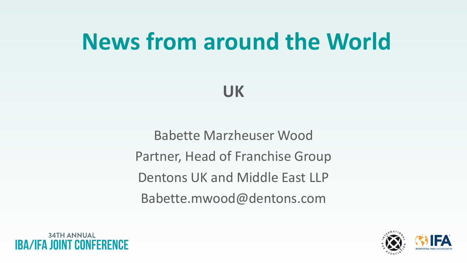# **News from around the World**

## **UK**

Babette Marzheuser Wood Partner, Head of Franchise Group Dentons UK and Middle East LLP Babette.mwood@dentons.com







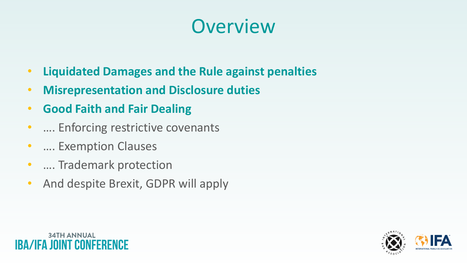

- **Liquidated Damages and the Rule against penalties**
- **Misrepresentation and Disclosure duties**
- **Good Faith and Fair Dealing**
- …. Enforcing restrictive covenants
- …. Exemption Clauses
- …. Trademark protection
- And despite Brexit, GDPR will apply

# **34TH ANNUAL**



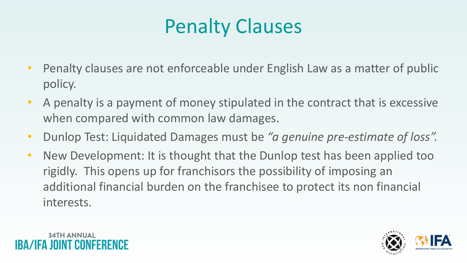# Penalty Clauses

- Penalty clauses are not enforceable under English Law as a matter of public policy.
- A penalty is a payment of money stipulated in the contract that is excessive when compared with common law damages.
- Dunlop Test: Liquidated Damages must be *"a genuine pre-estimate of loss".*
- New Development: It is thought that the Dunlop test has been applied too rigidly. This opens up for franchisors the possibility of imposing an additional financial burden on the franchisee to protect its non financial interests.



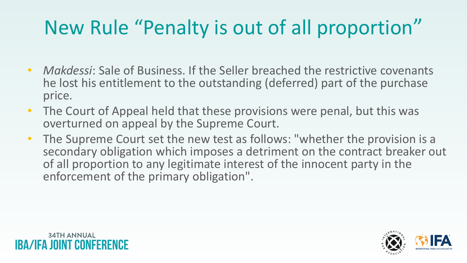# New Rule "Penalty is out of all proportion"

- *Makdessi*: Sale of Business. If the Seller breached the restrictive covenants he lost his entitlement to the outstanding (deferred) part of the purchase price.
- The Court of Appeal held that these provisions were penal, but this was overturned on appeal by the Supreme Court.
- The Supreme Court set the new test as follows: "whether the provision is a secondary obligation which imposes a detriment on the contract breaker out of all proportion to any legitimate interest of the innocent party in the enforcement of the primary obligation".

**34TH ANNUAL** 



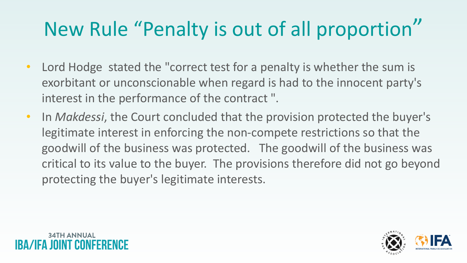# New Rule "Penalty is out of all proportion"

- Lord Hodge stated the "correct test for a penalty is whether the sum is exorbitant or unconscionable when regard is had to the innocent party's interest in the performance of the contract ".
- In *Makdessi*, the Court concluded that the provision protected the buyer's legitimate interest in enforcing the non-compete restrictions so that the goodwill of the business was protected. The goodwill of the business was critical to its value to the buyer. The provisions therefore did not go beyond protecting the buyer's legitimate interests.



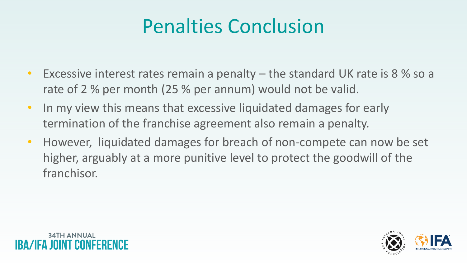# Penalties Conclusion

- Excessive interest rates remain a penalty the standard UK rate is 8 % so a rate of 2 % per month (25 % per annum) would not be valid.
- In my view this means that excessive liquidated damages for early termination of the franchise agreement also remain a penalty.
- However, liquidated damages for breach of non-compete can now be set higher, arguably at a more punitive level to protect the goodwill of the franchisor.





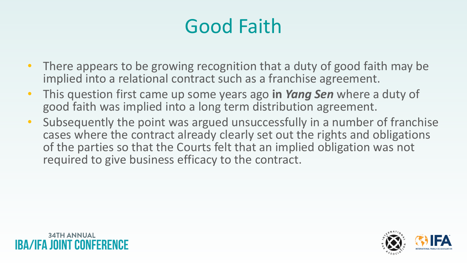# Good Faith

- There appears to be growing recognition that a duty of good faith may be implied into a relational contract such as a franchise agreement.
- This question first came up some years ago **in** *Yang Sen* where a duty of good faith was implied into a long term distribution agreement.
- Subsequently the point was argued unsuccessfully in a number of franchise cases where the contract already clearly set out the rights and obligations of the parties so that the Courts felt that an implied obligation was not required to give business efficacy to the contract.





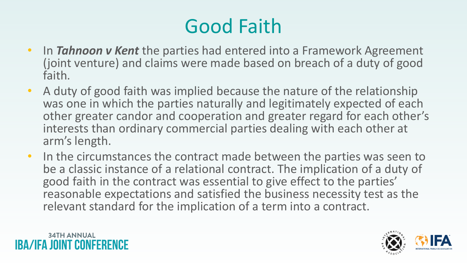# Good Faith

- In *Tahnoon v Kent* the parties had entered into a Framework Agreement (joint venture) and claims were made based on breach of a duty of good faith.
- A duty of good faith was implied because the nature of the relationship was one in which the parties naturally and legitimately expected of each other greater candor and cooperation and greater regard for each other's interests than ordinary commercial parties dealing with each other at arm's length.
- In the circumstances the contract made between the parties was seen to be a classic instance of a relational contract. The implication of a duty of good faith in the contract was essential to give effect to the parties' reasonable expectations and satisfied the business necessity test as the relevant standard for the implication of a term into a contract.

# **34TH ANNUAL**



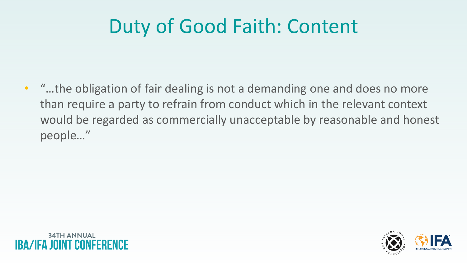# Duty of Good Faith: Content

• "…the obligation of fair dealing is not a demanding one and does no more than require a party to refrain from conduct which in the relevant context would be regarded as commercially unacceptable by reasonable and honest people…"





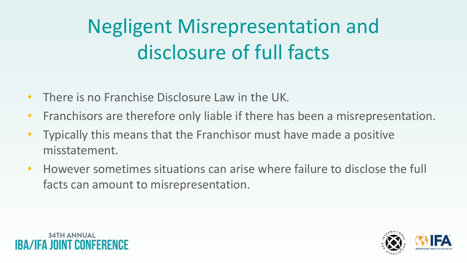# Negligent Misrepresentation and disclosure of full facts

- There is no Franchise Disclosure Law in the UK.
- Franchisors are therefore only liable if there has been a misrepresentation.
- Typically this means that the Franchisor must have made a positive misstatement.
- However sometimes situations can arise where failure to disclose the full facts can amount to misrepresentation.





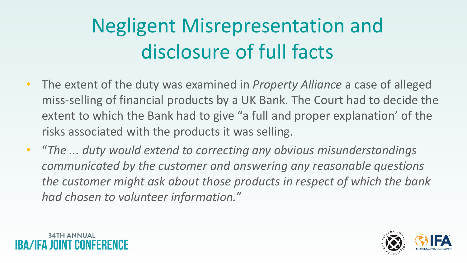# Negligent Misrepresentation and disclosure of full facts

- The extent of the duty was examined in *Property Alliance* a case of alleged miss-selling of financial products by a UK Bank. The Court had to decide the extent to which the Bank had to give "a full and proper explanation' of the risks associated with the products it was selling.
- "*The ... duty would extend to correcting any obvious misunderstandings communicated by the customer and answering any reasonable questions the customer might ask about those products in respect of which the bank had chosen to volunteer information."*





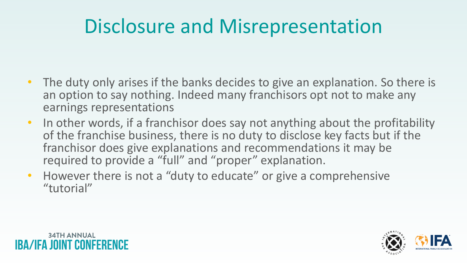# Disclosure and Misrepresentation

- The duty only arises if the banks decides to give an explanation. So there is an option to say nothing. Indeed many franchisors opt not to make any earnings representations
- In other words, if a franchisor does say not anything about the profitability of the franchise business, there is no duty to disclose key facts but if the franchisor does give explanations and recommendations it may be required to provide a "full" and "proper" explanation.
- However there is not a "duty to educate" or give a comprehensive "tutorial"

# **34TH ANNUAL**



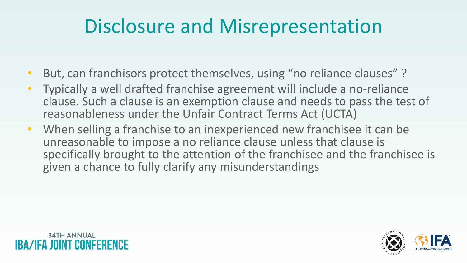# Disclosure and Misrepresentation

- But, can franchisors protect themselves, using "no reliance clauses"?
- Typically a well drafted franchise agreement will include a no-reliance clause. Such a clause is an exemption clause and needs to pass the test of reasonableness under the Unfair Contract Terms Act (UCTA)
- When selling a franchise to an inexperienced new franchisee it can be unreasonable to impose a no reliance clause unless that clause is specifically brought to the attention of the franchisee and the franchisee is given a chance to fully clarify any misunderstandings

# **34TH ANNUAL**





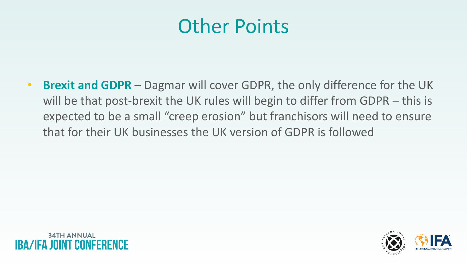# Other Points

• **Brexit and GDPR** – Dagmar will cover GDPR, the only difference for the UK will be that post-brexit the UK rules will begin to differ from GDPR – this is expected to be a small "creep erosion" but franchisors will need to ensure that for their UK businesses the UK version of GDPR is followed





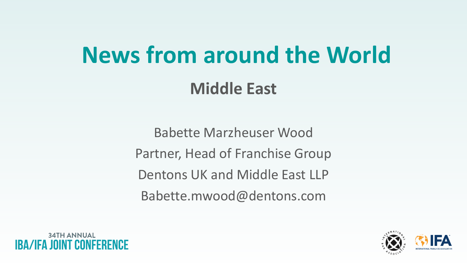# **News from around the World Middle East**

Babette Marzheuser Wood Partner, Head of Franchise Group Dentons UK and Middle East LLP Babette.mwood@dentons.com







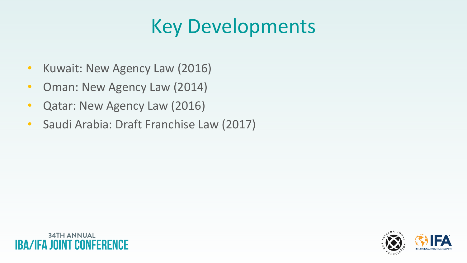# Key Developments

- Kuwait: New Agency Law (2016)
- Oman: New Agency Law (2014)
- Qatar: New Agency Law (2016)
- Saudi Arabia: Draft Franchise Law (2017)





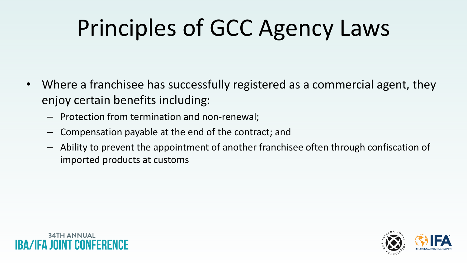# Principles of GCC Agency Laws

- Where a franchisee has successfully registered as a commercial agent, they enjoy certain benefits including:
	- Protection from termination and non-renewal;
	- Compensation payable at the end of the contract; and
	- Ability to prevent the appointment of another franchisee often through confiscation of imported products at customs







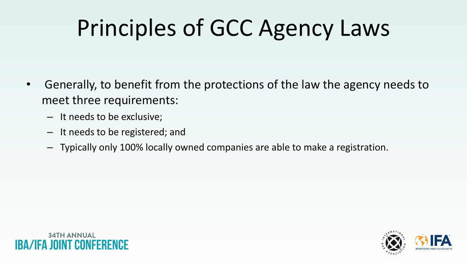# Principles of GCC Agency Laws

- Generally, to benefit from the protections of the law the agency needs to meet three requirements:
	- It needs to be exclusive;
	- It needs to be registered; and
	- Typically only 100% locally owned companies are able to make a registration.







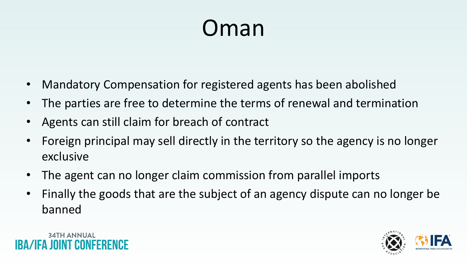# Oman

- Mandatory Compensation for registered agents has been abolished
- The parties are free to determine the terms of renewal and termination
- Agents can still claim for breach of contract
- Foreign principal may sell directly in the territory so the agency is no longer exclusive
- The agent can no longer claim commission from parallel imports
- Finally the goods that are the subject of an agency dispute can no longer be banned

# 34TH ANNUAI



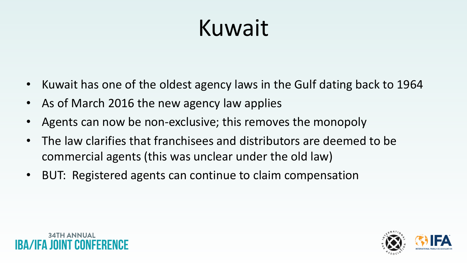# Kuwait

- Kuwait has one of the oldest agency laws in the Gulf dating back to 1964
- As of March 2016 the new agency law applies
- Agents can now be non-exclusive; this removes the monopoly
- The law clarifies that franchisees and distributors are deemed to be commercial agents (this was unclear under the old law)
- BUT: Registered agents can continue to claim compensation



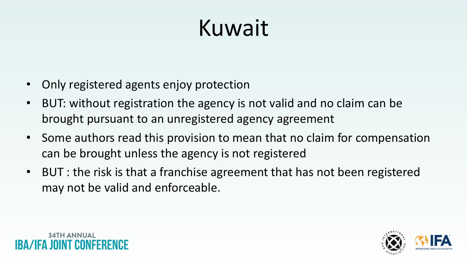# Kuwait

- Only registered agents enjoy protection
- BUT: without registration the agency is not valid and no claim can be brought pursuant to an unregistered agency agreement
- Some authors read this provision to mean that no claim for compensation can be brought unless the agency is not registered
- BUT : the risk is that a franchise agreement that has not been registered may not be valid and enforceable.



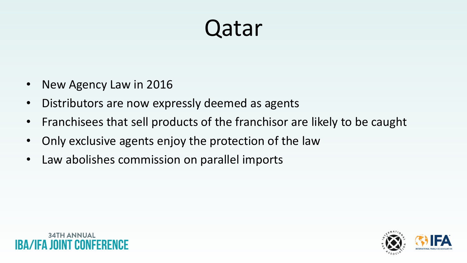# Qatar

- New Agency Law in 2016
- Distributors are now expressly deemed as agents
- Franchisees that sell products of the franchisor are likely to be caught
- Only exclusive agents enjoy the protection of the law
- Law abolishes commission on parallel imports

# **34TH ANNUAL**



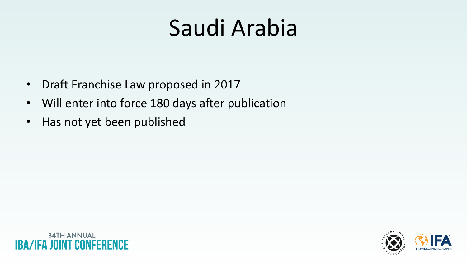- Draft Franchise Law proposed in 2017
- Will enter into force 180 days after publication
- Has not yet been published





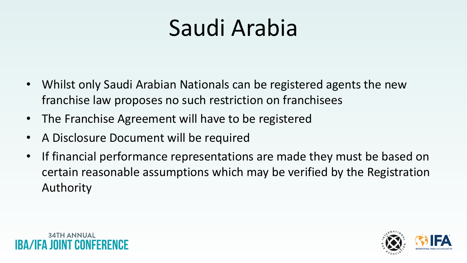- Whilst only Saudi Arabian Nationals can be registered agents the new franchise law proposes no such restriction on franchisees
- The Franchise Agreement will have to be registered
- A Disclosure Document will be required
- If financial performance representations are made they must be based on certain reasonable assumptions which may be verified by the Registration Authority



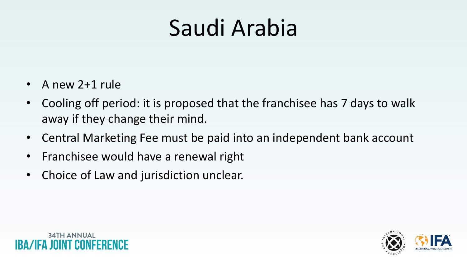- A new 2+1 rule
- Cooling off period: it is proposed that the franchisee has 7 days to walk away if they change their mind.
- Central Marketing Fee must be paid into an independent bank account
- Franchisee would have a renewal right
- Choice of Law and jurisdiction unclear.